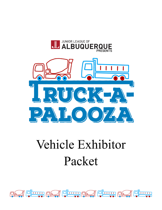

## Vehicle Exhibitor Packet

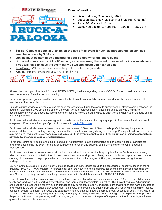

Event Information:

- Date: Saturday, October 22, 2022
- Location: Expo New Mexico (NM State Fair Grounds)
- Time: 10:00 am 2:00 pm
- Quiet Hours (siren  $&$  horn free): 10:00 am 12:00 pm
- Set-up: Gates will open at 7:30 am on the day of the event for vehicle participants; all vehicles **must be in place by 9:30 am.**
- **Vehicle must be staffed by a member of your company for the entire event.**
- **Our event insurance PROHIBITS moving vehicles during the event. Please let us know in advance if you will have to leave the event early so we can locate you near an exit.**
- Tear-Down: Will be permitted once the public has left the grounds.
- Weather Policy: Event will occur RAIN or SHINE.



All volunteers and participants will follow all NMDOH/CDC guidelines regarding current COVID-19 which could include hand washing, wearing of masks, social distancing.

Participant space assignments will be determined by the Junior League of Albuquerque based upon the best interests of the event and/or first-come-first served.

Exhibitors must provide a minimum of one (1) adult representative during the event to supervise their station/vehicle between the hours of 10:00 am to 2:00 pm on the date of the event. Vehicle representative(s) should be able to provide a narrative description of the vehicle's specifications and/or services and how to act safely around each vehicle when out on the road and in their neighborhood.

Participants with vehicles & equipment agree to provide the Junior League of Albuquerque proof of insurance for all vehicles & equipment. Please email a copy of proof of insurance to [trucks@jlabq.org.](mailto:trucks@jlabq.org)

Participants with vehicles must arrive on the event day between 8:00am and 9:30am to set-up. Vehicles requiring special accommodations, such as a large turning radius, will be asked to arrive early during event set-up. Participants with vehicles must stay the entire length of the event and may not leave until the event's conclusion at 2:00 pm unless otherwise agreed to in **advance by the Junior League of Albuquerque.**

Participants grant permission to the Junior League of Albuquerque to take photographs and/or record videos of participants and/or displays during the event for the strict purpose of promotion and publicity of the event and/or the Junior League of Albuquerque

Participants and their representatives shall conduct themselves in a manner that is appropriate for the family-oriented event, which includes but is not limited to the following restrictions: No smoking, no profanity, and no display of inappropriate content or clothing. In the event of inappropriate behavior at the event, the Junior League of Albuquerque reserves the right to ask participants to leave.

EXPO New Mexico maintains security on the grounds at all times. New Mexico prohibits the possession of deadly weapons on the fair grounds. NMAC 4.3.1.19(A) provides, "No person shall enter the New Mexico state fairgrounds bearing or otherwise possessing any deadly weapon, whether concealed or not." No discretionary exceptions to NMAC 4.3.1.19(A)'s prohibition, will be provided by EXPO New Mexico except for peace officers in the performance of their official duties pursuant to NMAC 4.3.1.19(B).

The nature of the Truck-A-Palooza event involves the interaction of children with participant's vehicle(s) so that the children can touch, see, and explore the participant's vehicle(s) and learn about the vehicle(s)'s function. The Junior League of Albuquerque shall not be held responsible for any loss or damage to any participant property, and participant shall further hold harmless, defend and indemnify the Junior League of Albuquerque, its officers, employees, and agents from and against any and all claims, losses, causes of action, judgments, damages and expenses including but not limited to attorney's fees, because of bodily injury, death, or injury to or destruction of tangible property or any other injury or damage resulting from or arising out of (a) participant's property, (b) participant's use of the premises, and/or (c) any act, error, or omission on the part of the participant, or its agents, employees, guests, invitees or subcontractors.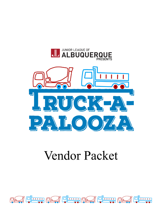

## **Vendor Packet**